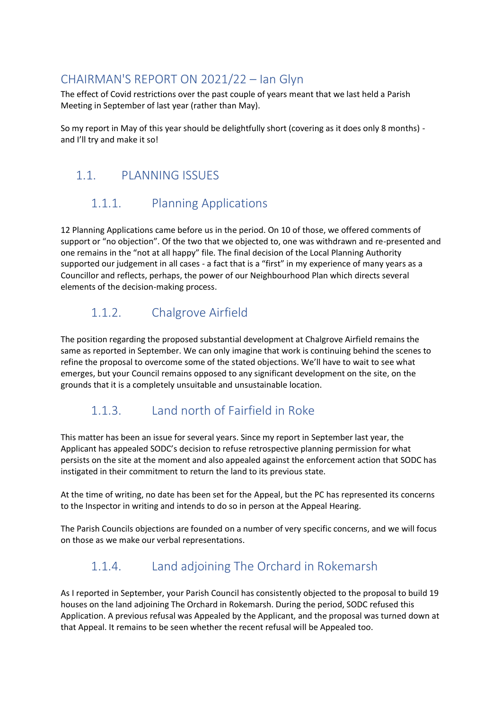# CHAIRMAN'S REPORT ON 2021/22 – Ian Glyn

The effect of Covid restrictions over the past couple of years meant that we last held a Parish Meeting in September of last year (rather than May).

So my report in May of this year should be delightfully short (covering as it does only 8 months) and I'll try and make it so!

# 1.1. PLANNING ISSUES

# 1.1.1. Planning Applications

12 Planning Applications came before us in the period. On 10 of those, we offered comments of support or "no objection". Of the two that we objected to, one was withdrawn and re-presented and one remains in the "not at all happy" file. The final decision of the Local Planning Authority supported our judgement in all cases - a fact that is a "first" in my experience of many years as a Councillor and reflects, perhaps, the power of our Neighbourhood Plan which directs several elements of the decision-making process.

# 1.1.2. Chalgrove Airfield

The position regarding the proposed substantial development at Chalgrove Airfield remains the same as reported in September. We can only imagine that work is continuing behind the scenes to refine the proposal to overcome some of the stated objections. We'll have to wait to see what emerges, but your Council remains opposed to any significant development on the site, on the grounds that it is a completely unsuitable and unsustainable location.

# 1.1.3. Land north of Fairfield in Roke

This matter has been an issue for several years. Since my report in September last year, the Applicant has appealed SODC's decision to refuse retrospective planning permission for what persists on the site at the moment and also appealed against the enforcement action that SODC has instigated in their commitment to return the land to its previous state.

At the time of writing, no date has been set for the Appeal, but the PC has represented its concerns to the Inspector in writing and intends to do so in person at the Appeal Hearing.

The Parish Councils objections are founded on a number of very specific concerns, and we will focus on those as we make our verbal representations.

# 1.1.4. Land adjoining The Orchard in Rokemarsh

As I reported in September, your Parish Council has consistently objected to the proposal to build 19 houses on the land adjoining The Orchard in Rokemarsh. During the period, SODC refused this Application. A previous refusal was Appealed by the Applicant, and the proposal was turned down at that Appeal. It remains to be seen whether the recent refusal will be Appealed too.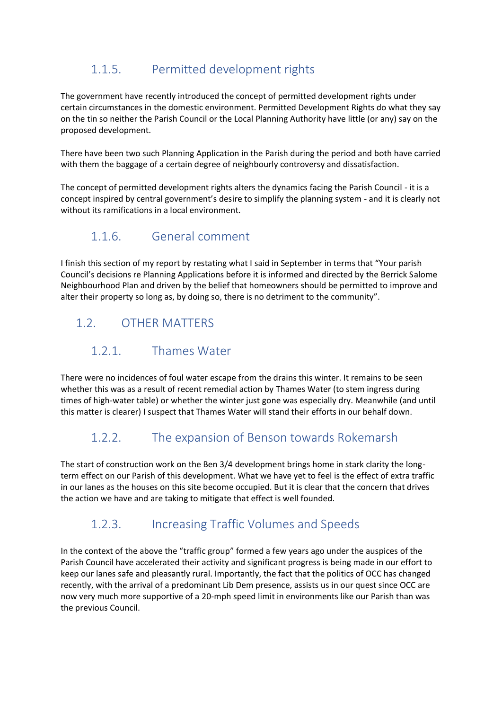# 1.1.5. Permitted development rights

The government have recently introduced the concept of permitted development rights under certain circumstances in the domestic environment. Permitted Development Rights do what they say on the tin so neither the Parish Council or the Local Planning Authority have little (or any) say on the proposed development.

There have been two such Planning Application in the Parish during the period and both have carried with them the baggage of a certain degree of neighbourly controversy and dissatisfaction.

The concept of permitted development rights alters the dynamics facing the Parish Council - it is a concept inspired by central government's desire to simplify the planning system - and it is clearly not without its ramifications in a local environment.

#### 1.1.6. General comment

I finish this section of my report by restating what I said in September in terms that "Your parish Council's decisions re Planning Applications before it is informed and directed by the Berrick Salome Neighbourhood Plan and driven by the belief that homeowners should be permitted to improve and alter their property so long as, by doing so, there is no detriment to the community".

# 1.2. OTHER MATTERS

#### 1.2.1. Thames Water

There were no incidences of foul water escape from the drains this winter. It remains to be seen whether this was as a result of recent remedial action by Thames Water (to stem ingress during times of high-water table) or whether the winter just gone was especially dry. Meanwhile (and until this matter is clearer) I suspect that Thames Water will stand their efforts in our behalf down.

# 1.2.2. The expansion of Benson towards Rokemarsh

The start of construction work on the Ben 3/4 development brings home in stark clarity the longterm effect on our Parish of this development. What we have yet to feel is the effect of extra traffic in our lanes as the houses on this site become occupied. But it is clear that the concern that drives the action we have and are taking to mitigate that effect is well founded.

# 1.2.3. Increasing Traffic Volumes and Speeds

In the context of the above the "traffic group" formed a few years ago under the auspices of the Parish Council have accelerated their activity and significant progress is being made in our effort to keep our lanes safe and pleasantly rural. Importantly, the fact that the politics of OCC has changed recently, with the arrival of a predominant Lib Dem presence, assists us in our quest since OCC are now very much more supportive of a 20-mph speed limit in environments like our Parish than was the previous Council.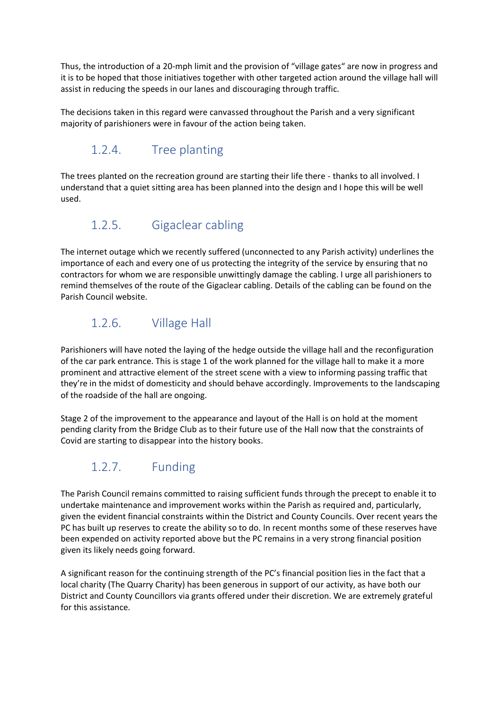Thus, the introduction of a 20-mph limit and the provision of "village gates" are now in progress and it is to be hoped that those initiatives together with other targeted action around the village hall will assist in reducing the speeds in our lanes and discouraging through traffic.

The decisions taken in this regard were canvassed throughout the Parish and a very significant majority of parishioners were in favour of the action being taken.

#### 1.2.4. Tree planting

The trees planted on the recreation ground are starting their life there - thanks to all involved. I understand that a quiet sitting area has been planned into the design and I hope this will be well used.

#### 1.2.5. Gigaclear cabling

The internet outage which we recently suffered (unconnected to any Parish activity) underlines the importance of each and every one of us protecting the integrity of the service by ensuring that no contractors for whom we are responsible unwittingly damage the cabling. I urge all parishioners to remind themselves of the route of the Gigaclear cabling. Details of the cabling can be found on the Parish Council website.

#### 1.2.6. Village Hall

Parishioners will have noted the laying of the hedge outside the village hall and the reconfiguration of the car park entrance. This is stage 1 of the work planned for the village hall to make it a more prominent and attractive element of the street scene with a view to informing passing traffic that they're in the midst of domesticity and should behave accordingly. Improvements to the landscaping of the roadside of the hall are ongoing.

Stage 2 of the improvement to the appearance and layout of the Hall is on hold at the moment pending clarity from the Bridge Club as to their future use of the Hall now that the constraints of Covid are starting to disappear into the history books.

# 1.2.7. Funding

The Parish Council remains committed to raising sufficient funds through the precept to enable it to undertake maintenance and improvement works within the Parish as required and, particularly, given the evident financial constraints within the District and County Councils. Over recent years the PC has built up reserves to create the ability so to do. In recent months some of these reserves have been expended on activity reported above but the PC remains in a very strong financial position given its likely needs going forward.

A significant reason for the continuing strength of the PC's financial position lies in the fact that a local charity (The Quarry Charity) has been generous in support of our activity, as have both our District and County Councillors via grants offered under their discretion. We are extremely grateful for this assistance.